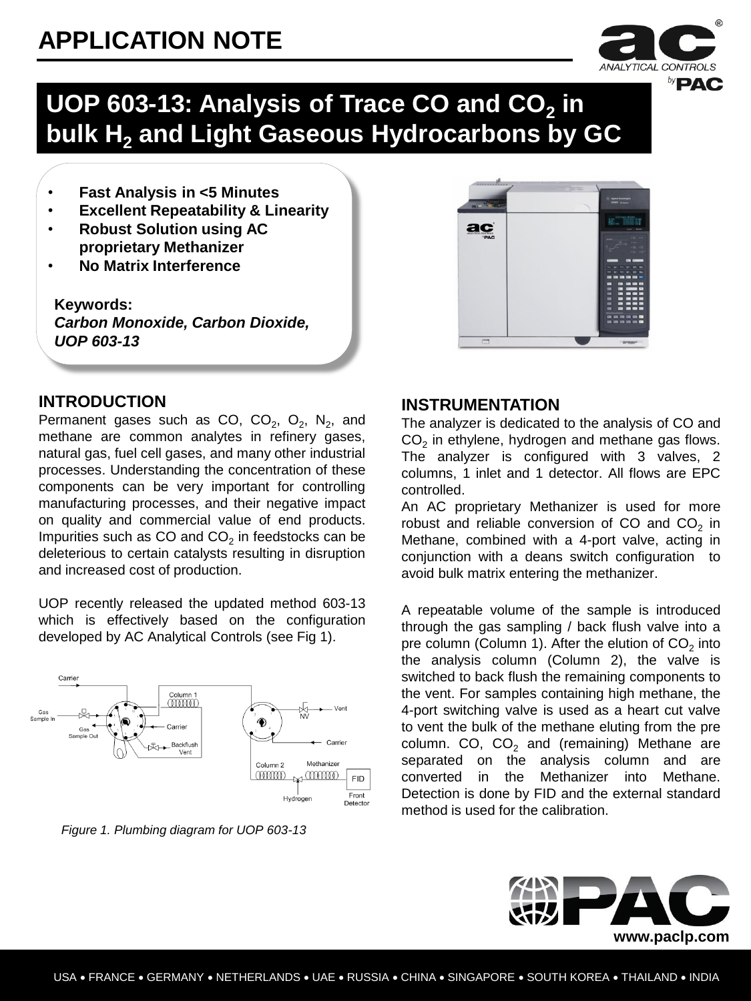

## **UOP 603-13: Analysis of Trace CO and CO<sup>2</sup> in bulk H<sup>2</sup> and Light Gaseous Hydrocarbons by GC**

- **Fast Analysis in <5 Minutes**
- **Excellent Repeatability & Linearity**
- **Robust Solution using AC proprietary Methanizer**
- **No Matrix Interference**

**Keywords:** *Carbon Monoxide, Carbon Dioxide, UOP 603-13*



### **INTRODUCTION**

Permanent gases such as CO,  $CO_2$ ,  $O_2$ ,  $N_2$ , and methane are common analytes in refinery gases, natural gas, fuel cell gases, and many other industrial processes. Understanding the concentration of these components can be very important for controlling manufacturing processes, and their negative impact on quality and commercial value of end products. Impurities such as CO and CO<sub>2</sub> in feedstocks can be deleterious to certain catalysts resulting in disruption and increased cost of production.

UOP recently released the updated method 603-13 which is effectively based on the configuration developed by AC Analytical Controls (see Fig 1).



*Figure 1. Plumbing diagram for UOP 603-13*

### **INSTRUMENTATION**

The analyzer is dedicated to the analysis of CO and  $CO<sub>2</sub>$  in ethylene, hydrogen and methane gas flows. The analyzer is configured with 3 valves, 2 columns, 1 inlet and 1 detector. All flows are EPC controlled.

An AC proprietary Methanizer is used for more robust and reliable conversion of CO and  $CO<sub>2</sub>$  in Methane, combined with a 4-port valve, acting in conjunction with a deans switch configuration to avoid bulk matrix entering the methanizer.

A repeatable volume of the sample is introduced through the gas sampling / back flush valve into a pre column (Column 1). After the elution of CO $_2$  into the analysis column (Column 2), the valve is switched to back flush the remaining components to the vent. For samples containing high methane, the 4-port switching valve is used as a heart cut valve to vent the bulk of the methane eluting from the pre column. CO,  $CO<sub>2</sub>$  and (remaining) Methane are separated on the analysis column and are converted in the Methanizer into Methane. Detection is done by FID and the external standard method is used for the calibration.

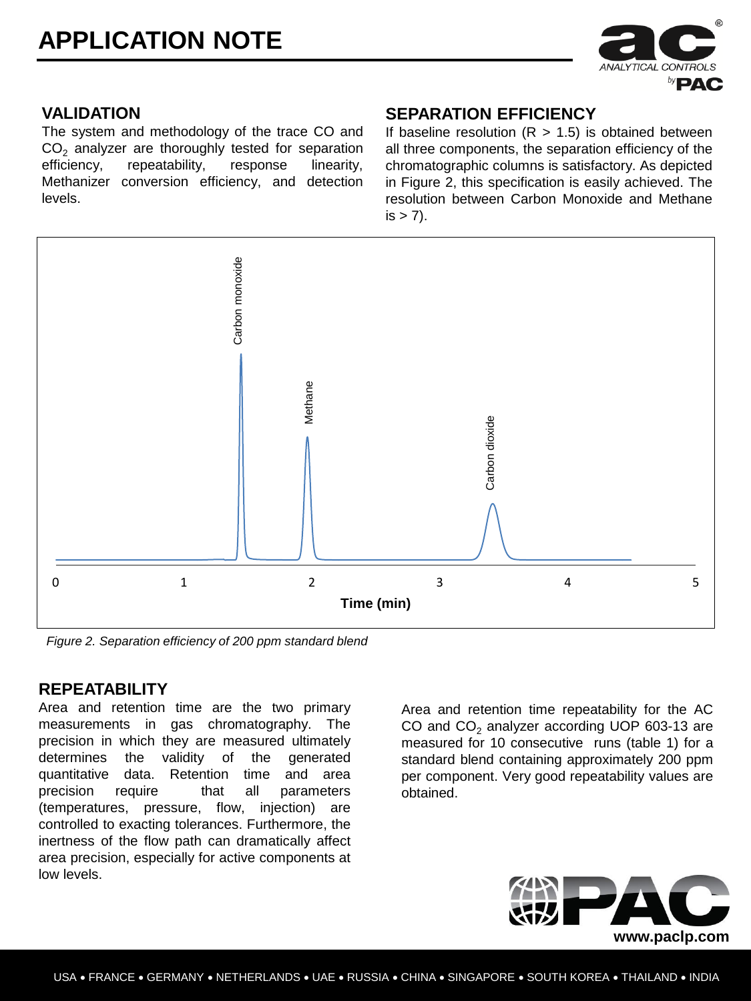

### **VALIDATION**

The system and methodology of the trace CO and  $CO<sub>2</sub>$  analyzer are thoroughly tested for separation efficiency, repeatability, response linearity, repeatability, Methanizer conversion efficiency, and detection levels.

#### **SEPARATION EFFICIENCY**

If baseline resolution  $(R > 1.5)$  is obtained between all three components, the separation efficiency of the chromatographic columns is satisfactory. As depicted in Figure 2, this specification is easily achieved. The resolution between Carbon Monoxide and Methane  $is > 7$ ).



*Figure 2. Separation efficiency of 200 ppm standard blend*

#### **REPEATABILITY**

Area and retention time are the two primary measurements in gas chromatography. The precision in which they are measured ultimately determines the validity of the generated quantitative data. Retention time and area precision require that all parameters (temperatures, pressure, flow, injection) are controlled to exacting tolerances. Furthermore, the inertness of the flow path can dramatically affect area precision, especially for active components at low levels.

Area and retention time repeatability for the AC CO and  $CO<sub>2</sub>$  analyzer according UOP 603-13 are measured for 10 consecutive runs (table 1) for a standard blend containing approximately 200 ppm per component. Very good repeatability values are obtained.

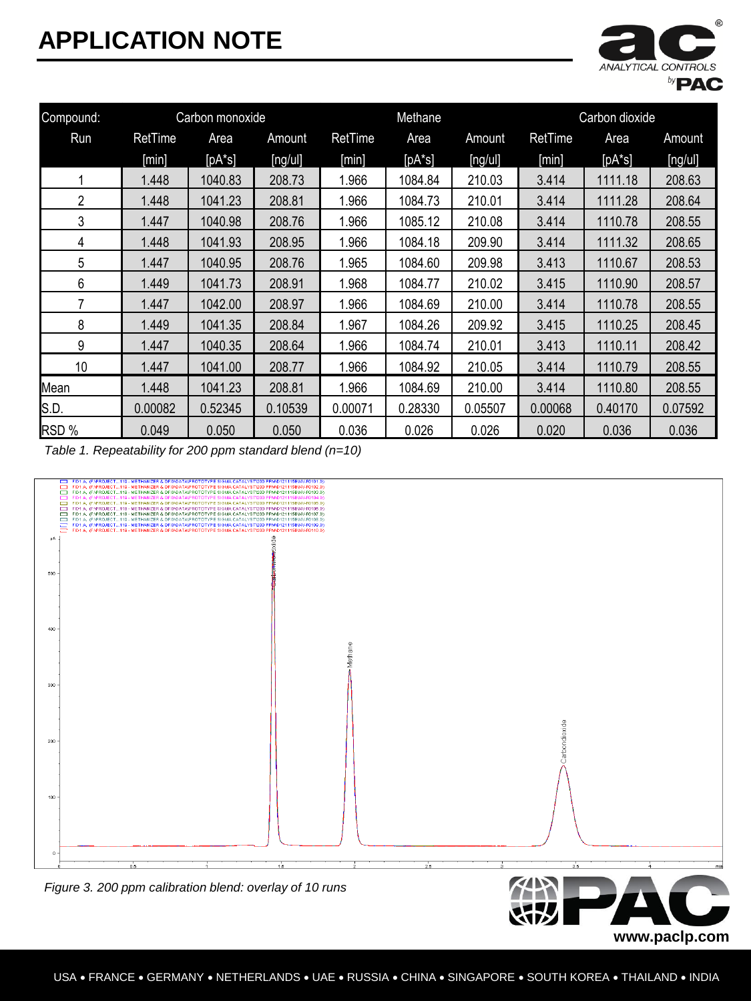

**www.paclp.com**

| Compound: | Carbon monoxide |          | Methane |         |          | Carbon dioxide |                |           |         |
|-----------|-----------------|----------|---------|---------|----------|----------------|----------------|-----------|---------|
| Run       | RetTime         | Area     | Amount  | RetTime | Area     | Amount         | <b>RetTime</b> | Area      | Amount  |
|           | [min]           | $[pA*s]$ | [ng/u]  | [min]   | $[pA*s]$ | [ng/u]         | [min]          | $[pA^*s]$ | [ng/u]  |
|           | 1.448           | 1040.83  | 208.73  | 1.966   | 1084.84  | 210.03         | 3.414          | 1111.18   | 208.63  |
| 2         | 1.448           | 1041.23  | 208.81  | 1.966   | 1084.73  | 210.01         | 3.414          | 1111.28   | 208.64  |
| 3         | 1.447           | 1040.98  | 208.76  | 1.966   | 1085.12  | 210.08         | 3.414          | 1110.78   | 208.55  |
| 4         | 1.448           | 1041.93  | 208.95  | 1.966   | 1084.18  | 209.90         | 3.414          | 1111.32   | 208.65  |
| 5         | 1.447           | 1040.95  | 208.76  | 1.965   | 1084.60  | 209.98         | 3.413          | 1110.67   | 208.53  |
| 6         | 1.449           | 1041.73  | 208.91  | 1.968   | 1084.77  | 210.02         | 3.415          | 1110.90   | 208.57  |
| 7         | 1.447           | 1042.00  | 208.97  | 1.966   | 1084.69  | 210.00         | 3.414          | 1110.78   | 208.55  |
| 8         | 1.449           | 1041.35  | 208.84  | 1.967   | 1084.26  | 209.92         | 3.415          | 1110.25   | 208.45  |
| 9         | 1.447           | 1040.35  | 208.64  | 1.966   | 1084.74  | 210.01         | 3.413          | 1110.11   | 208.42  |
| 10        | 1.447           | 1041.00  | 208.77  | 1.966   | 1084.92  | 210.05         | 3.414          | 1110.79   | 208.55  |
| Mean      | 1.448           | 1041.23  | 208.81  | 1.966   | 1084.69  | 210.00         | 3.414          | 1110.80   | 208.55  |
| S.D.      | 0.00082         | 0.52345  | 0.10539 | 0.00071 | 0.28330  | 0.05507        | 0.00068        | 0.40170   | 0.07592 |
| RSD %     | 0.049           | 0.050    | 0.050   | 0.036   | 0.026    | 0.026          | 0.020          | 0.036     | 0.036   |

*Table 1. Repeatability for 200 ppm standard blend (n=10)*

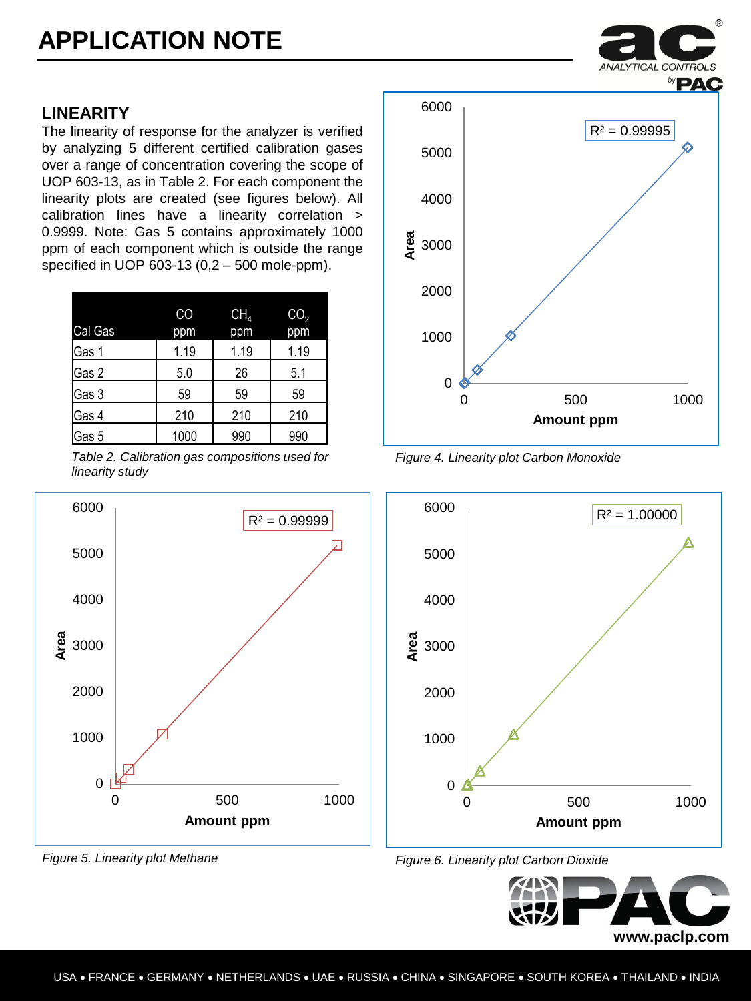## **LINEARITY**

The linearity of response for the analyzer is verified by analyzing 5 different certified calibration gases over a range of concentration covering the scope of UOP 603-13, as in Table 2. For each component the linearity plots are created (see figures below). All calibration lines have a linearity correlation > 0.9999. Note: Gas 5 contains approximately 1000 ppm of each component which is outside the range specified in UOP 603-13 (0,2 – 500 mole-ppm).

|         | CO   | CH <sub>4</sub> | CO <sub>2</sub> |
|---------|------|-----------------|-----------------|
| Cal Gas | ppm  | ppm             | ppm             |
| Gas 1   | 1.19 | 1.19            | 1.19            |
| Gas 2   | 5.0  | 26              | 5.1             |
| Gas 3   | 59   | 59              | 59              |
| Gas 4   | 210  | 210             | 210             |
| Gas 5   | 1000 | 990             | 990             |

*Table 2. Calibration gas compositions used for linearity study*





*Figure 4. Linearity plot Carbon Monoxide*







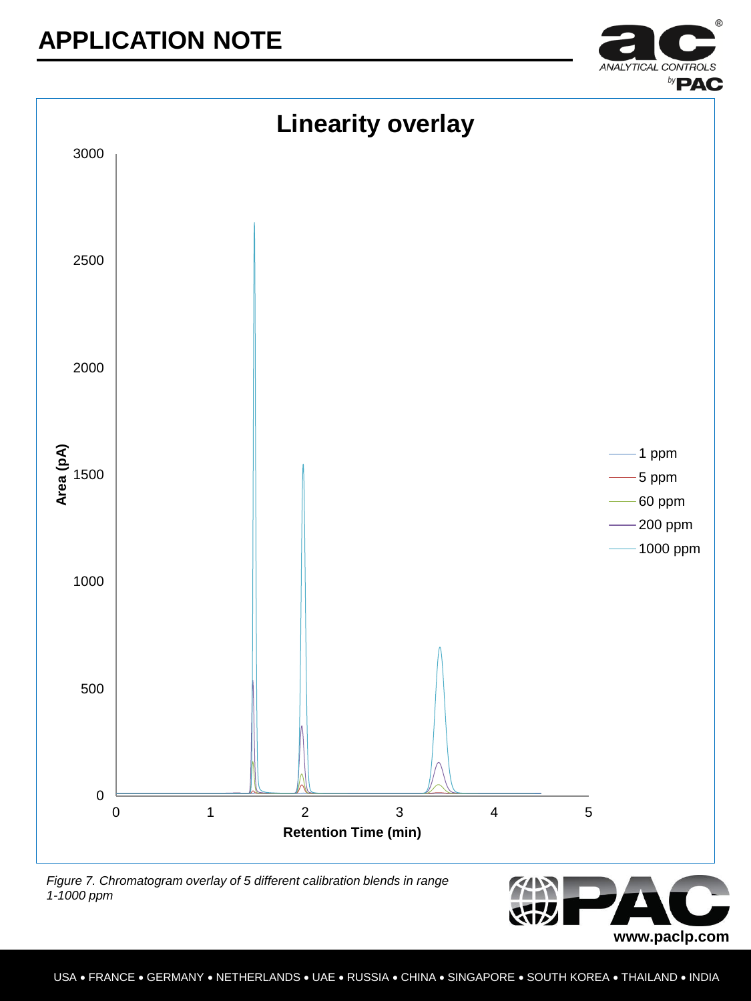



*Figure 7. Chromatogram overlay of 5 different calibration blends in range 1-1000 ppm*

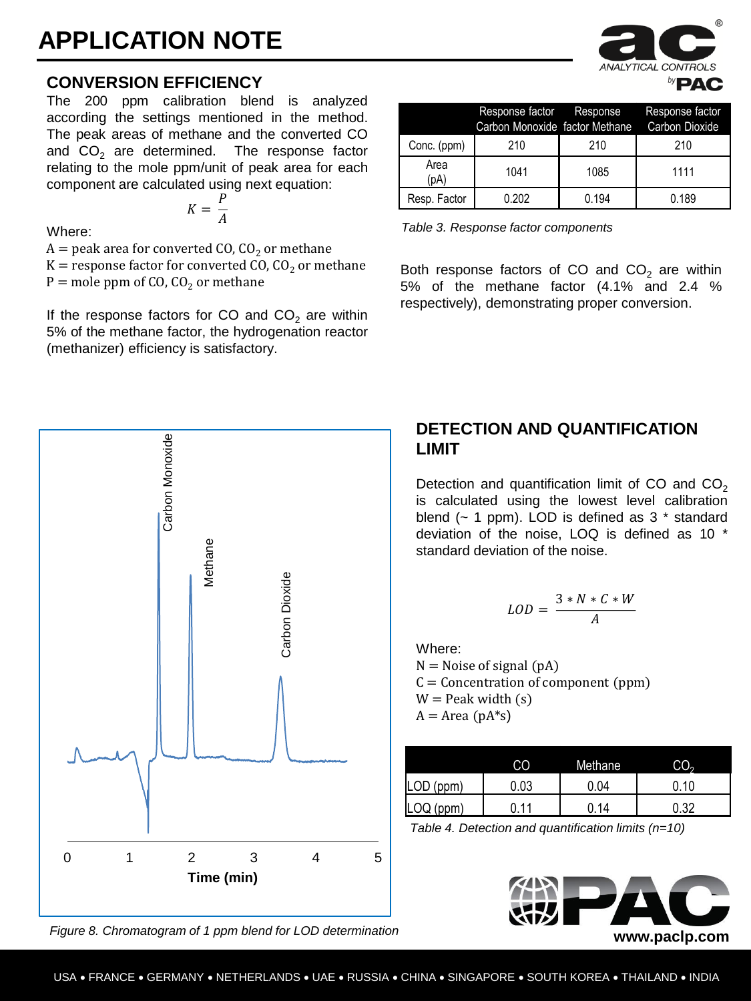### **CONVERSION EFFICIENCY**

The 200 ppm calibration blend is analyzed according the settings mentioned in the method. The peak areas of methane and the converted CO and  $CO<sub>2</sub>$  are determined. The response factor relating to the mole ppm/unit of peak area for each component are calculated using next equation:

$$
K = \frac{P}{A}
$$

Where:

 $A =$  peak area for converted CO, CO<sub>2</sub> or methane

 $K =$  response factor for converted CO, CO<sub>2</sub> or methane  $P =$  mole ppm of CO, CO<sub>2</sub> or methane

If the response factors for CO and  $CO<sub>2</sub>$  are within 5% of the methane factor, the hydrogenation reactor (methanizer) efficiency is satisfactory.

|              | Response factor Response<br>Carbon Monoxide factor Methane |       | Response factor<br>Carbon Dioxide |
|--------------|------------------------------------------------------------|-------|-----------------------------------|
| Conc. (ppm)  | 210                                                        | 210   | 210                               |
| Area<br>(pA) | 1041                                                       | 1085  | 1111                              |
| Resp. Factor | 0.202                                                      | 0.194 | 0.189                             |

*Table 3. Response factor components*

Both response factors of CO and  $CO<sub>2</sub>$  are within 5% of the methane factor (4.1% and 2.4 % respectively), demonstrating proper conversion.



*Figure 8. Chromatogram of 1 ppm blend for LOD determination*

### **DETECTION AND QUANTIFICATION LIMIT**

Detection and quantification limit of CO and  $CO<sub>2</sub>$ is calculated using the lowest level calibration blend  $(-1)$  ppm). LOD is defined as 3  $*$  standard deviation of the noise, LOQ is defined as 10 \* standard deviation of the noise.

$$
LOD = \frac{3*N*C*w}{A}
$$

Where:  $N =$  Noise of signal (pA)  $C =$  Concentration of component (ppm)  $W =$  Peak width  $(s)$  $A = Area (pA*s)$ 

|                | CO   | Methane | CO.  |
|----------------|------|---------|------|
| (ppm)<br>'LOD  | 0.03 | .04 ل   | 0.10 |
| (ppm)<br>ILOQ. | 11   | 14      | .32  |

*Table 4. Detection and quantification limits (n=10)*